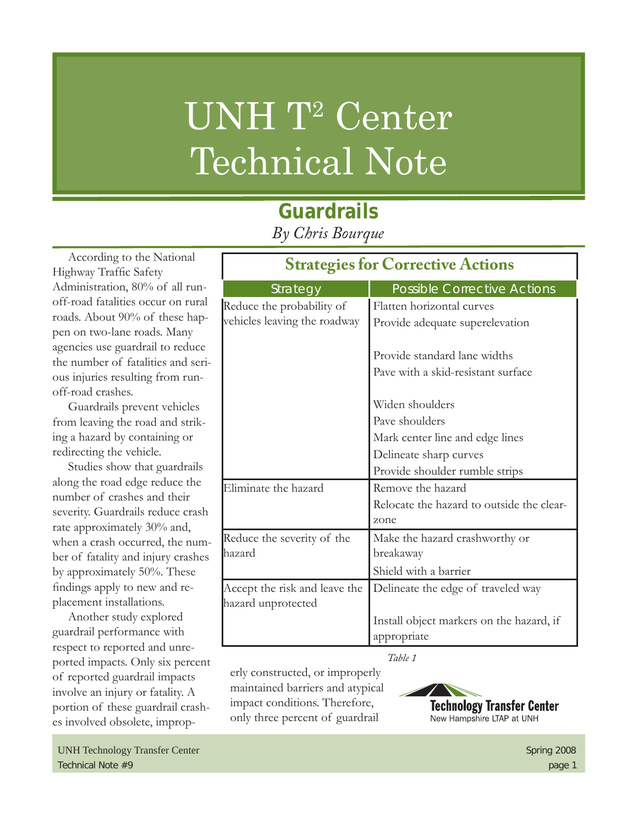# UNH T<sup>2</sup> Center Technical Note

## **Guardrails** *By Chris Bourque*

According to the National Highway Traffic Safety Administration, 80% of all runoff-road fatalities occur on rural roads. About 90% of these happen on two-lane roads. Many agencies use guardrail to reduce the number of fatalities and serious injuries resulting from runoff-road crashes.

Guardrails prevent vehicles from leaving the road and striking a hazard by containing or redirecting the vehicle.

Studies show that guardrails along the road edge reduce the number of crashes and their severity. Guardrails reduce crash rate approximately 30% and, when a crash occurred, the number of fatality and injury crashes by approximately 50%. These findings apply to new and replacement installations.

Another study explored guardrail performance with respect to reported and unreported impacts. Only six percent of reported guardrail impacts involve an injury or fatality. A portion of these guardrail crashes involved obsolete, improp-

| <b>Strategies for Corrective Actions</b>            |                                           |  |
|-----------------------------------------------------|-------------------------------------------|--|
| Strategy                                            | <b>Possible Corrective Actions</b>        |  |
| Reduce the probability of                           | Flatten horizontal curves                 |  |
| vehicles leaving the roadway                        | Provide adequate superelevation           |  |
|                                                     | Provide standard lane widths              |  |
|                                                     | Pave with a skid-resistant surface        |  |
|                                                     | Widen shoulders                           |  |
|                                                     | Pave shoulders                            |  |
|                                                     | Mark center line and edge lines           |  |
|                                                     | Delineate sharp curves                    |  |
|                                                     | Provide shoulder rumble strips            |  |
| Eliminate the hazard                                | Remove the hazard                         |  |
|                                                     | Relocate the hazard to outside the clear- |  |
|                                                     | zone                                      |  |
| Reduce the severity of the                          | Make the hazard crashworthy or            |  |
| hazard                                              | breakaway                                 |  |
|                                                     | Shield with a barrier                     |  |
| Accept the risk and leave the<br>hazard unprotected | Delineate the edge of traveled way        |  |
|                                                     | Install object markers on the hazard, if  |  |
|                                                     | appropriate                               |  |

*Table 1*

erly constructed, or improperly maintained barriers and atypical impact conditions. Therefore, only three percent of guardrail

**Technology Transfer Center** New Hampshire LTAP at UNH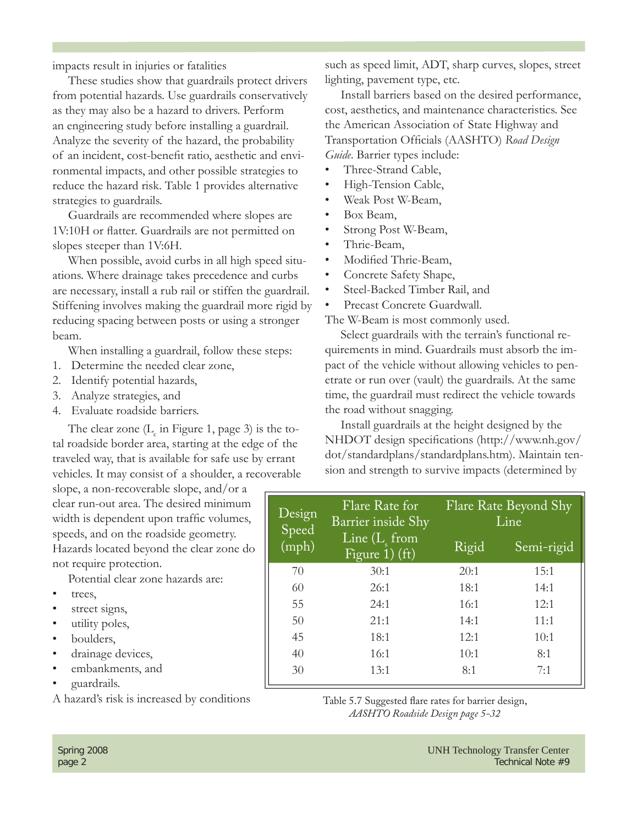impacts result in injuries or fatalities

These studies show that guardrails protect drivers from potential hazards. Use guardrails conservatively as they may also be a hazard to drivers. Perform an engineering study before installing a guardrail. Analyze the severity of the hazard, the probability of an incident, cost-benefit ratio, aesthetic and environmental impacts, and other possible strategies to reduce the hazard risk. Table 1 provides alternative strategies to guardrails.

Guardrails are recommended where slopes are 1V:10H or flatter. Guardrails are not permitted on slopes steeper than 1V:6H.

When possible, avoid curbs in all high speed situations. Where drainage takes precedence and curbs are necessary, install a rub rail or stiffen the guardrail. Stiffening involves making the guardrail more rigid by reducing spacing between posts or using a stronger beam.

When installing a guardrail, follow these steps:

- 1. Determine the needed clear zone,
- 2. Identify potential hazards,
- 3. Analyze strategies, and
- 4. Evaluate roadside barriers.

The clear zone  $(L_c$  in Figure 1, page 3) is the total roadside border area, starting at the edge of the traveled way, that is available for safe use by errant vehicles. It may consist of a shoulder, a recoverable

slope, a non-recoverable slope, and/or a clear run-out area. The desired minimum width is dependent upon traffic volumes, speeds, and on the roadside geometry. Hazards located beyond the clear zone do not require protection.

Potential clear zone hazards are:

- trees.
- street signs,
- utility poles,
- boulders,
- drainage devices,
- embankments, and
- guardrails.

A hazard's risk is increased by conditions

such as speed limit, ADT, sharp curves, slopes, street lighting, pavement type, etc.

Install barriers based on the desired performance, cost, aesthetics, and maintenance characteristics. See the American Association of State Highway and Transportation Officials (AASHTO) *Road Design Guide*. Barrier types include:

- Three-Strand Cable,
- High-Tension Cable,
- Weak Post W-Beam,
- Box Beam,
- Strong Post W-Beam,
- Thrie-Beam,
- Modified Thrie-Beam,
- Concrete Safety Shape,
- Steel-Backed Timber Rail, and
- Precast Concrete Guardwall.

The W-Beam is most commonly used.

Select guardrails with the terrain's functional requirements in mind. Guardrails must absorb the impact of the vehicle without allowing vehicles to penetrate or run over (vault) the guardrails. At the same time, the guardrail must redirect the vehicle towards the road without snagging.

Install guardrails at the height designed by the NHDOT design specifications (http://www.nh.gov/ dot/standardplans/standardplans.htm). Maintain tension and strength to survive impacts (determined by

| Design<br>Speed | Flare Rate for<br>Barrier inside Shy | Flare Rate Beyond Shy<br>Line |            |
|-----------------|--------------------------------------|-------------------------------|------------|
| (mph)           | Line $(Ls$ from<br>Figure 1) $(ft)$  | Rigid                         | Semi-rigid |
| 70              | 30:1                                 | 20:1                          | 15:1       |
| 60              | 26:1                                 | 18:1                          | 14:1       |
| 55              | 24:1                                 | 16:1                          | 12:1       |
| 50              | 21:1                                 | 14:1                          | 11:1       |
| 45              | 18:1                                 | 12:1                          | 10:1       |
| 40              | 16:1                                 | 10:1                          | 8:1        |
| 30              | 13:1                                 | 8:1                           | 7:1        |

Table 5.7 Suggested flare rates for barrier design, *AASHTO Roadside Design page 5-32*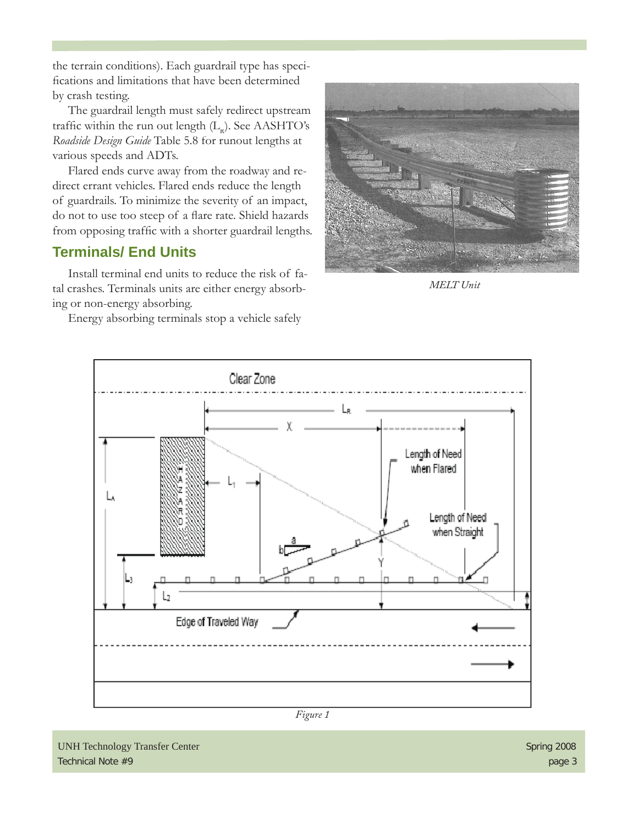the terrain conditions). Each guardrail type has specifications and limitations that have been determined by crash testing.

The guardrail length must safely redirect upstream traffic within the run out length  $(L_p)$ . See AASHTO's *Roadside Design Guide* Table 5.8 for runout lengths at various speeds and ADTs.

Flared ends curve away from the roadway and redirect errant vehicles. Flared ends reduce the length of guardrails. To minimize the severity of an impact, do not to use too steep of a flare rate. Shield hazards from opposing traffic with a shorter guardrail lengths.

### **Terminals/ End Units**

Install terminal end units to reduce the risk of fatal crashes. Terminals units are either energy absorbing or non-energy absorbing.

Energy absorbing terminals stop a vehicle safely



*MELT Unit*



*Figure 1*

UNH Technology Transfer Center Spring 2008 Technical Note #9 page 3 page 3 page 3 page 3 page 3 page 3 page 3 page 3 page 3 page 3 page 3 page 3 page 3 page 3